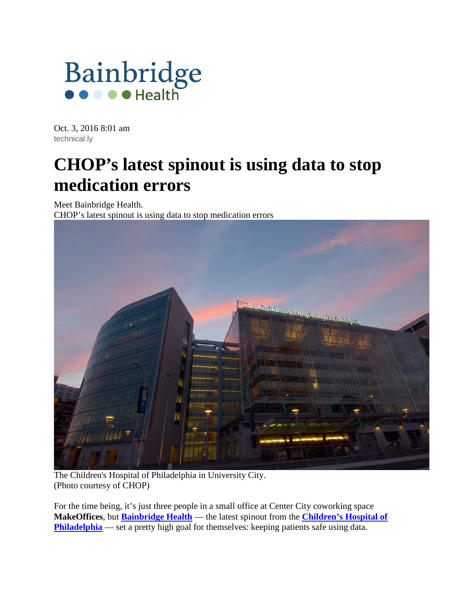

Oct. 3, 2016 8:01 am [technical.ly](http://www.bainbridgehealth.com/news/author/technical.ly)

## **CHOP's latest spinout is using data to stop medication errors**

Meet Bainbridge Health.

CHOP's latest spinout is using data to stop medication errors



The Children's Hospital of Philadelphia in University City. (Photo courtesy of CHOP)

For the time being, it's just three people in a small office at Center City coworking space **MakeOffices**, but **[Bainbridge Health](http://www.bainbridgehealth.com/)** — the latest spinout from the **[Children's Hospital of](http://technical.ly/organization/childrens-hospital-of-philadelphia)  [Philadelphia](http://technical.ly/organization/childrens-hospital-of-philadelphia)** — set a pretty high goal for themselves: keeping patients safe using data.